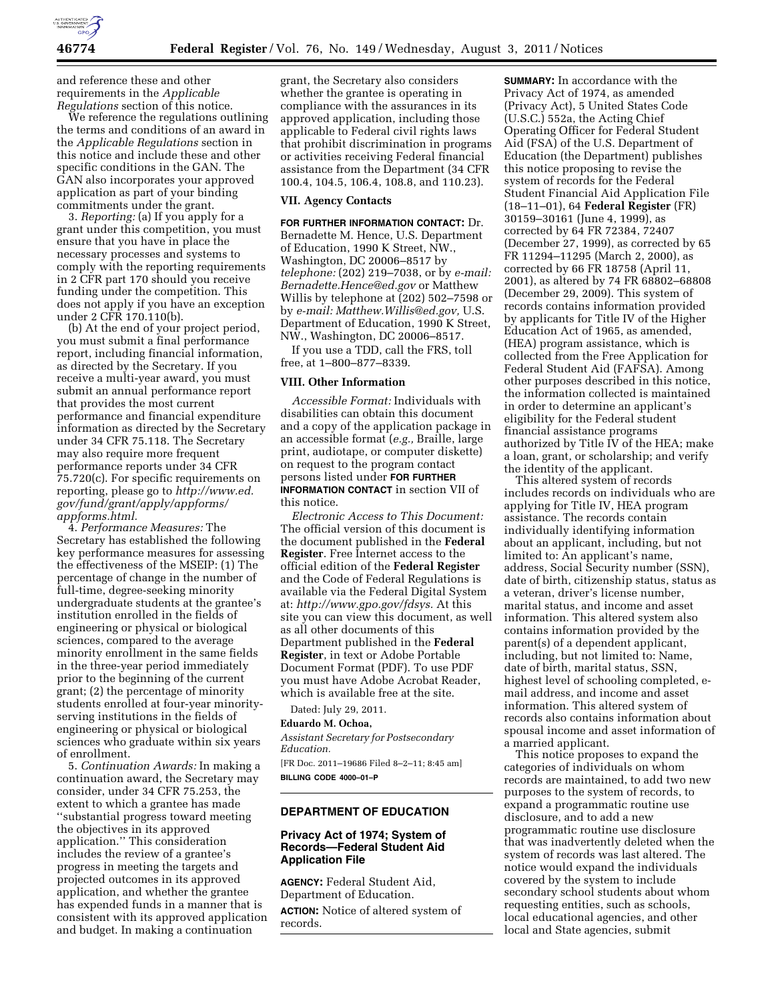

and reference these and other requirements in the *Applicable Regulations* section of this notice.

We reference the regulations outlining the terms and conditions of an award in the *Applicable Regulations* section in this notice and include these and other specific conditions in the GAN. The GAN also incorporates your approved application as part of your binding commitments under the grant.

3. *Reporting:* (a) If you apply for a grant under this competition, you must ensure that you have in place the necessary processes and systems to comply with the reporting requirements in 2 CFR part 170 should you receive funding under the competition. This does not apply if you have an exception under 2 CFR 170.110(b).

(b) At the end of your project period, you must submit a final performance report, including financial information, as directed by the Secretary. If you receive a multi-year award, you must submit an annual performance report that provides the most current performance and financial expenditure information as directed by the Secretary under 34 CFR 75.118. The Secretary may also require more frequent performance reports under 34 CFR 75.720(c). For specific requirements on reporting, please go to *[http://www.ed.](http://www.ed.gov/fund/grant/apply/appforms/appforms.html) [gov/fund/grant/apply/appforms/](http://www.ed.gov/fund/grant/apply/appforms/appforms.html) [appforms.html.](http://www.ed.gov/fund/grant/apply/appforms/appforms.html)* 

4. *Performance Measures:* The Secretary has established the following key performance measures for assessing the effectiveness of the MSEIP: (1) The percentage of change in the number of full-time, degree-seeking minority undergraduate students at the grantee's institution enrolled in the fields of engineering or physical or biological sciences, compared to the average minority enrollment in the same fields in the three-year period immediately prior to the beginning of the current grant; (2) the percentage of minority students enrolled at four-year minorityserving institutions in the fields of engineering or physical or biological sciences who graduate within six years of enrollment.

5. *Continuation Awards:* In making a continuation award, the Secretary may consider, under 34 CFR 75.253, the extent to which a grantee has made ''substantial progress toward meeting the objectives in its approved application.'' This consideration includes the review of a grantee's progress in meeting the targets and projected outcomes in its approved application, and whether the grantee has expended funds in a manner that is consistent with its approved application and budget. In making a continuation

grant, the Secretary also considers whether the grantee is operating in compliance with the assurances in its approved application, including those applicable to Federal civil rights laws that prohibit discrimination in programs or activities receiving Federal financial assistance from the Department (34 CFR 100.4, 104.5, 106.4, 108.8, and 110.23).

### **VII. Agency Contacts**

**FOR FURTHER INFORMATION CONTACT:** Dr. Bernadette M. Hence, U.S. Department of Education, 1990 K Street, NW., Washington, DC 20006–8517 by *telephone:* (202) 219–7038, or by *e-mail: [Bernadette.Hence@ed.gov](mailto:Bernadette.Hence@ed.gov)* or Matthew Willis by telephone at (202) 502–7598 or by *e-mail: [Matthew.Willis@ed.gov,](mailto:Matthew.Willis@ed.gov)* U.S. Department of Education, 1990 K Street, NW., Washington, DC 20006–8517.

If you use a TDD, call the FRS, toll free, at 1–800–877–8339.

## **VIII. Other Information**

*Accessible Format:* Individuals with disabilities can obtain this document and a copy of the application package in an accessible format (*e.g.,* Braille, large print, audiotape, or computer diskette) on request to the program contact persons listed under **FOR FURTHER INFORMATION CONTACT** in section VII of this notice.

*Electronic Access to This Document:*  The official version of this document is the document published in the **Federal Register**. Free Internet access to the official edition of the **Federal Register**  and the Code of Federal Regulations is available via the Federal Digital System at: *[http://www.gpo.gov/fdsys.](http://www.gpo.gov/fdsys)* At this site you can view this document, as well as all other documents of this Department published in the **Federal Register**, in text or Adobe Portable Document Format (PDF). To use PDF you must have Adobe Acrobat Reader, which is available free at the site.

Dated: July 29, 2011.

# **Eduardo M. Ochoa,**

*Assistant Secretary for Postsecondary Education.* 

[FR Doc. 2011–19686 Filed 8–2–11; 8:45 am] **BILLING CODE 4000–01–P** 

# **DEPARTMENT OF EDUCATION**

# **Privacy Act of 1974; System of Records—Federal Student Aid Application File**

**AGENCY:** Federal Student Aid, Department of Education.

**ACTION:** Notice of altered system of records.

**SUMMARY:** In accordance with the Privacy Act of 1974, as amended (Privacy Act), 5 United States Code (U.S.C.) 552a, the Acting Chief Operating Officer for Federal Student Aid (FSA) of the U.S. Department of Education (the Department) publishes this notice proposing to revise the system of records for the Federal Student Financial Aid Application File (18–11–01), 64 **Federal Register** (FR) 30159–30161 (June 4, 1999), as corrected by 64 FR 72384, 72407 (December 27, 1999), as corrected by 65 FR 11294–11295 (March 2, 2000), as corrected by 66 FR 18758 (April 11, 2001), as altered by 74 FR 68802–68808 (December 29, 2009). This system of records contains information provided by applicants for Title IV of the Higher Education Act of 1965, as amended, (HEA) program assistance, which is collected from the Free Application for Federal Student Aid (FAFSA). Among other purposes described in this notice, the information collected is maintained in order to determine an applicant's eligibility for the Federal student financial assistance programs authorized by Title IV of the HEA; make a loan, grant, or scholarship; and verify the identity of the applicant.

This altered system of records includes records on individuals who are applying for Title IV, HEA program assistance. The records contain individually identifying information about an applicant, including, but not limited to: An applicant's name, address, Social Security number (SSN), date of birth, citizenship status, status as a veteran, driver's license number, marital status, and income and asset information. This altered system also contains information provided by the parent(s) of a dependent applicant, including, but not limited to: Name, date of birth, marital status, SSN, highest level of schooling completed, email address, and income and asset information. This altered system of records also contains information about spousal income and asset information of a married applicant.

This notice proposes to expand the categories of individuals on whom records are maintained, to add two new purposes to the system of records, to expand a programmatic routine use disclosure, and to add a new programmatic routine use disclosure that was inadvertently deleted when the system of records was last altered. The notice would expand the individuals covered by the system to include secondary school students about whom requesting entities, such as schools, local educational agencies, and other local and State agencies, submit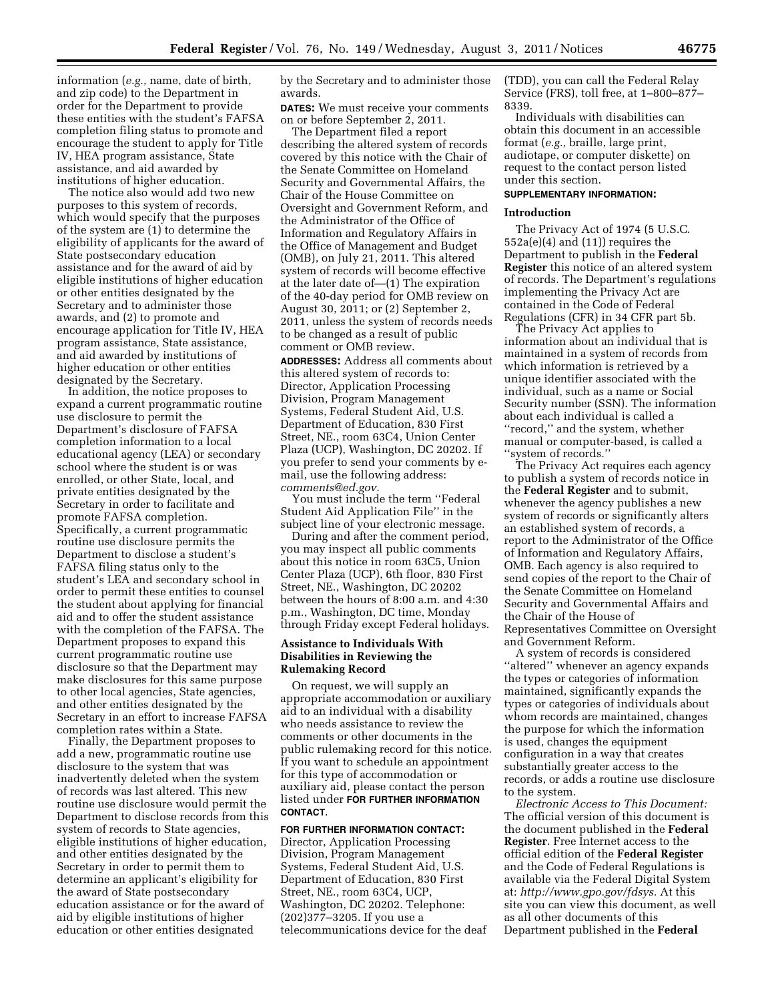information (*e.g.,* name, date of birth, and zip code) to the Department in order for the Department to provide these entities with the student's FAFSA completion filing status to promote and encourage the student to apply for Title IV, HEA program assistance, State assistance, and aid awarded by institutions of higher education.

The notice also would add two new purposes to this system of records, which would specify that the purposes of the system are (1) to determine the eligibility of applicants for the award of State postsecondary education assistance and for the award of aid by eligible institutions of higher education or other entities designated by the Secretary and to administer those awards, and (2) to promote and encourage application for Title IV, HEA program assistance, State assistance, and aid awarded by institutions of higher education or other entities designated by the Secretary.

In addition, the notice proposes to expand a current programmatic routine use disclosure to permit the Department's disclosure of FAFSA completion information to a local educational agency (LEA) or secondary school where the student is or was enrolled, or other State, local, and private entities designated by the Secretary in order to facilitate and promote FAFSA completion. Specifically, a current programmatic routine use disclosure permits the Department to disclose a student's FAFSA filing status only to the student's LEA and secondary school in order to permit these entities to counsel the student about applying for financial aid and to offer the student assistance with the completion of the FAFSA. The Department proposes to expand this current programmatic routine use disclosure so that the Department may make disclosures for this same purpose to other local agencies, State agencies, and other entities designated by the Secretary in an effort to increase FAFSA completion rates within a State.

Finally, the Department proposes to add a new, programmatic routine use disclosure to the system that was inadvertently deleted when the system of records was last altered. This new routine use disclosure would permit the Department to disclose records from this system of records to State agencies, eligible institutions of higher education, and other entities designated by the Secretary in order to permit them to determine an applicant's eligibility for the award of State postsecondary education assistance or for the award of aid by eligible institutions of higher education or other entities designated

by the Secretary and to administer those awards.

**DATES:** We must receive your comments on or before September 2, 2011.

The Department filed a report describing the altered system of records covered by this notice with the Chair of the Senate Committee on Homeland Security and Governmental Affairs, the Chair of the House Committee on Oversight and Government Reform, and the Administrator of the Office of Information and Regulatory Affairs in the Office of Management and Budget (OMB), on July 21, 2011. This altered system of records will become effective at the later date of—(1) The expiration of the 40-day period for OMB review on August 30, 2011; or (2) September 2, 2011, unless the system of records needs to be changed as a result of public comment or OMB review.

**ADDRESSES:** Address all comments about this altered system of records to: Director, Application Processing Division, Program Management Systems, Federal Student Aid, U.S. Department of Education, 830 First Street, NE., room 63C4, Union Center Plaza (UCP), Washington, DC 20202. If you prefer to send your comments by email, use the following address: *[comments@ed.gov.](mailto:comments@ed.gov)* 

You must include the term ''Federal Student Aid Application File'' in the subject line of your electronic message.

During and after the comment period, you may inspect all public comments about this notice in room 63C5, Union Center Plaza (UCP), 6th floor, 830 First Street, NE., Washington, DC 20202 between the hours of 8:00 a.m. and 4:30 p.m., Washington, DC time, Monday through Friday except Federal holidays.

# **Assistance to Individuals With Disabilities in Reviewing the Rulemaking Record**

On request, we will supply an appropriate accommodation or auxiliary aid to an individual with a disability who needs assistance to review the comments or other documents in the public rulemaking record for this notice. If you want to schedule an appointment for this type of accommodation or auxiliary aid, please contact the person listed under **FOR FURTHER INFORMATION CONTACT**.

# **FOR FURTHER INFORMATION CONTACT:**

Director, Application Processing Division, Program Management Systems, Federal Student Aid, U.S. Department of Education, 830 First Street, NE., room 63C4, UCP, Washington, DC 20202. Telephone: (202)377–3205. If you use a telecommunications device for the deaf (TDD), you can call the Federal Relay Service (FRS), toll free, at 1–800–877– 8339.

Individuals with disabilities can obtain this document in an accessible format (*e.g.,* braille, large print, audiotape, or computer diskette) on request to the contact person listed under this section.

# **SUPPLEMENTARY INFORMATION:**

# **Introduction**

The Privacy Act of 1974 (5 U.S.C. 552a(e)(4) and (11)) requires the Department to publish in the **Federal Register** this notice of an altered system of records. The Department's regulations implementing the Privacy Act are contained in the Code of Federal Regulations (CFR) in 34 CFR part 5b.

The Privacy Act applies to information about an individual that is maintained in a system of records from which information is retrieved by a unique identifier associated with the individual, such as a name or Social Security number (SSN). The information about each individual is called a ''record,'' and the system, whether manual or computer-based, is called a ''system of records.''

The Privacy Act requires each agency to publish a system of records notice in the **Federal Register** and to submit, whenever the agency publishes a new system of records or significantly alters an established system of records, a report to the Administrator of the Office of Information and Regulatory Affairs, OMB. Each agency is also required to send copies of the report to the Chair of the Senate Committee on Homeland Security and Governmental Affairs and the Chair of the House of Representatives Committee on Oversight and Government Reform.

A system of records is considered ''altered'' whenever an agency expands the types or categories of information maintained, significantly expands the types or categories of individuals about whom records are maintained, changes the purpose for which the information is used, changes the equipment configuration in a way that creates substantially greater access to the records, or adds a routine use disclosure to the system.

*Electronic Access to This Document:*  The official version of this document is the document published in the **Federal Register**. Free Internet access to the official edition of the **Federal Register**  and the Code of Federal Regulations is available via the Federal Digital System at: *[http://www.gpo.gov/fdsys.](http://www.gpo.gov/fdsys)* At this site you can view this document, as well as all other documents of this Department published in the **Federal**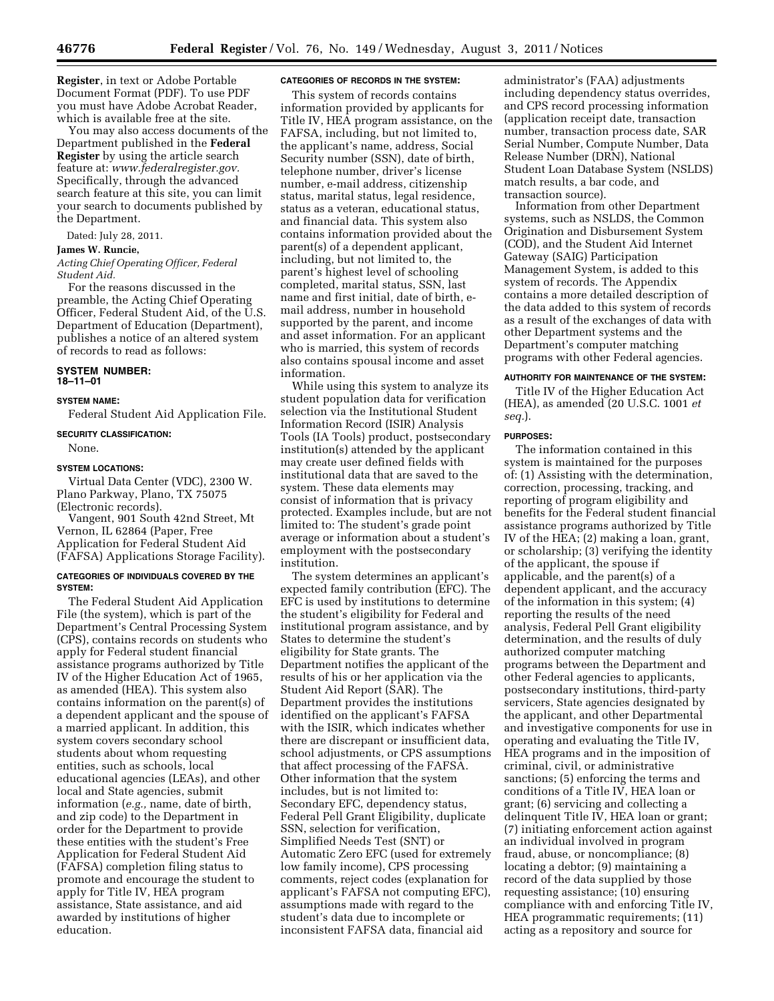**Register**, in text or Adobe Portable Document Format (PDF). To use PDF you must have Adobe Acrobat Reader, which is available free at the site.

You may also access documents of the Department published in the **Federal Register** by using the article search feature at: *[www.federalregister.gov.](http://www.federalregister.gov)*  Specifically, through the advanced search feature at this site, you can limit your search to documents published by the Department.

Dated: July 28, 2011.

## **James W. Runcie,**

*Acting Chief Operating Officer, Federal Student Aid.* 

For the reasons discussed in the preamble, the Acting Chief Operating Officer, Federal Student Aid, of the U.S. Department of Education (Department), publishes a notice of an altered system of records to read as follows:

### **SYSTEM NUMBER: 18–11–01**

#### **SYSTEM NAME:**

Federal Student Aid Application File.

#### **SECURITY CLASSIFICATION:**  None.

#### **SYSTEM LOCATIONS:**

Virtual Data Center (VDC), 2300 W. Plano Parkway, Plano, TX 75075 (Electronic records).

Vangent, 901 South 42nd Street, Mt Vernon, IL 62864 (Paper, Free Application for Federal Student Aid (FAFSA) Applications Storage Facility).

### **CATEGORIES OF INDIVIDUALS COVERED BY THE SYSTEM:**

The Federal Student Aid Application File (the system), which is part of the Department's Central Processing System (CPS), contains records on students who apply for Federal student financial assistance programs authorized by Title IV of the Higher Education Act of 1965, as amended (HEA). This system also contains information on the parent(s) of a dependent applicant and the spouse of a married applicant. In addition, this system covers secondary school students about whom requesting entities, such as schools, local educational agencies (LEAs), and other local and State agencies, submit information (*e.g.,* name, date of birth, and zip code) to the Department in order for the Department to provide these entities with the student's Free Application for Federal Student Aid (FAFSA) completion filing status to promote and encourage the student to apply for Title IV, HEA program assistance, State assistance, and aid awarded by institutions of higher education.

# **CATEGORIES OF RECORDS IN THE SYSTEM:**

This system of records contains information provided by applicants for Title IV, HEA program assistance, on the FAFSA, including, but not limited to, the applicant's name, address, Social Security number (SSN), date of birth, telephone number, driver's license number, e-mail address, citizenship status, marital status, legal residence, status as a veteran, educational status, and financial data. This system also contains information provided about the parent(s) of a dependent applicant, including, but not limited to, the parent's highest level of schooling completed, marital status, SSN, last name and first initial, date of birth, email address, number in household supported by the parent, and income and asset information. For an applicant who is married, this system of records also contains spousal income and asset information.

While using this system to analyze its student population data for verification selection via the Institutional Student Information Record (ISIR) Analysis Tools (IA Tools) product, postsecondary institution(s) attended by the applicant may create user defined fields with institutional data that are saved to the system. These data elements may consist of information that is privacy protected. Examples include, but are not limited to: The student's grade point average or information about a student's employment with the postsecondary institution.

The system determines an applicant's expected family contribution (EFC). The EFC is used by institutions to determine the student's eligibility for Federal and institutional program assistance, and by States to determine the student's eligibility for State grants. The Department notifies the applicant of the results of his or her application via the Student Aid Report (SAR). The Department provides the institutions identified on the applicant's FAFSA with the ISIR, which indicates whether there are discrepant or insufficient data, school adjustments, or CPS assumptions that affect processing of the FAFSA. Other information that the system includes, but is not limited to: Secondary EFC, dependency status, Federal Pell Grant Eligibility, duplicate SSN, selection for verification, Simplified Needs Test (SNT) or Automatic Zero EFC (used for extremely low family income), CPS processing comments, reject codes (explanation for applicant's FAFSA not computing EFC), assumptions made with regard to the student's data due to incomplete or inconsistent FAFSA data, financial aid

administrator's (FAA) adjustments including dependency status overrides, and CPS record processing information (application receipt date, transaction number, transaction process date, SAR Serial Number, Compute Number, Data Release Number (DRN), National Student Loan Database System (NSLDS) match results, a bar code, and transaction source).

Information from other Department systems, such as NSLDS, the Common Origination and Disbursement System (COD), and the Student Aid Internet Gateway (SAIG) Participation Management System, is added to this system of records. The Appendix contains a more detailed description of the data added to this system of records as a result of the exchanges of data with other Department systems and the Department's computer matching programs with other Federal agencies.

#### **AUTHORITY FOR MAINTENANCE OF THE SYSTEM:**

Title IV of the Higher Education Act (HEA), as amended (20 U.S.C. 1001 *et seq.*).

#### **PURPOSES:**

The information contained in this system is maintained for the purposes of: (1) Assisting with the determination, correction, processing, tracking, and reporting of program eligibility and benefits for the Federal student financial assistance programs authorized by Title IV of the HEA; (2) making a loan, grant, or scholarship; (3) verifying the identity of the applicant, the spouse if applicable, and the parent(s) of a dependent applicant, and the accuracy of the information in this system; (4) reporting the results of the need analysis, Federal Pell Grant eligibility determination, and the results of duly authorized computer matching programs between the Department and other Federal agencies to applicants, postsecondary institutions, third-party servicers, State agencies designated by the applicant, and other Departmental and investigative components for use in operating and evaluating the Title IV, HEA programs and in the imposition of criminal, civil, or administrative sanctions; (5) enforcing the terms and conditions of a Title IV, HEA loan or grant; (6) servicing and collecting a delinquent Title IV, HEA loan or grant; (7) initiating enforcement action against an individual involved in program fraud, abuse, or noncompliance; (8) locating a debtor; (9) maintaining a record of the data supplied by those requesting assistance; (10) ensuring compliance with and enforcing Title IV, HEA programmatic requirements; (11) acting as a repository and source for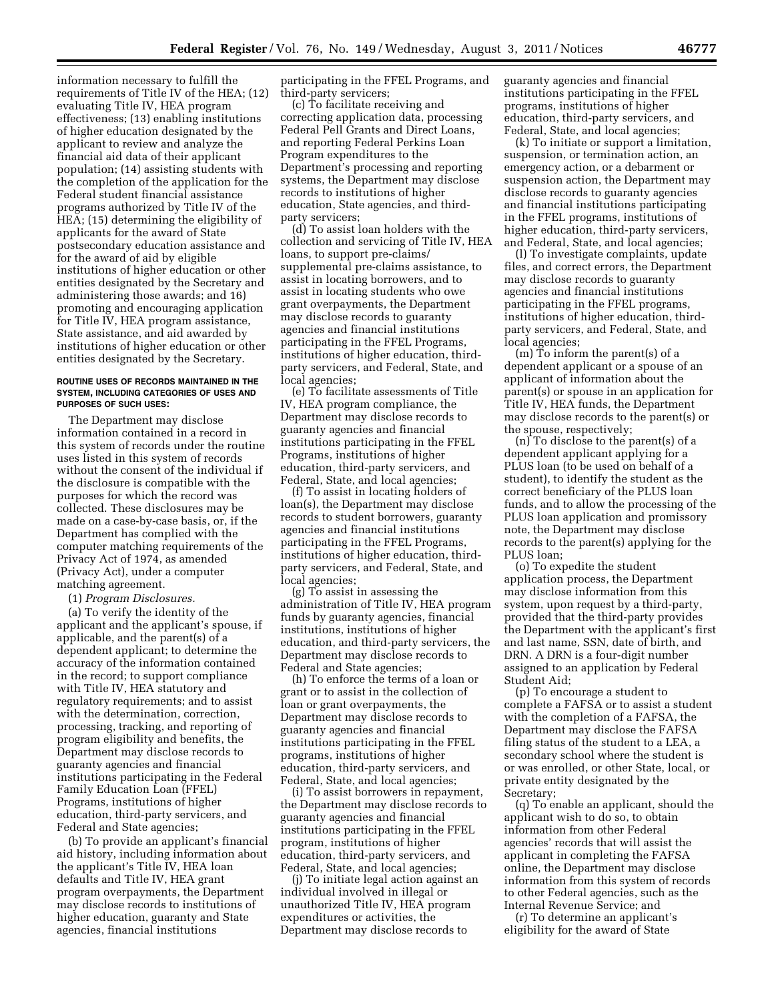information necessary to fulfill the requirements of Title IV of the HEA; (12) evaluating Title IV, HEA program effectiveness; (13) enabling institutions of higher education designated by the applicant to review and analyze the financial aid data of their applicant population; (14) assisting students with the completion of the application for the Federal student financial assistance programs authorized by Title IV of the HEA; (15) determining the eligibility of applicants for the award of State postsecondary education assistance and for the award of aid by eligible institutions of higher education or other entities designated by the Secretary and administering those awards; and 16) promoting and encouraging application for Title IV, HEA program assistance, State assistance, and aid awarded by institutions of higher education or other entities designated by the Secretary.

#### **ROUTINE USES OF RECORDS MAINTAINED IN THE SYSTEM, INCLUDING CATEGORIES OF USES AND PURPOSES OF SUCH USES:**

The Department may disclose information contained in a record in this system of records under the routine uses listed in this system of records without the consent of the individual if the disclosure is compatible with the purposes for which the record was collected. These disclosures may be made on a case-by-case basis, or, if the Department has complied with the computer matching requirements of the Privacy Act of 1974, as amended (Privacy Act), under a computer matching agreement.

(1) *Program Disclosures.* 

(a) To verify the identity of the applicant and the applicant's spouse, if applicable, and the parent(s) of a dependent applicant; to determine the accuracy of the information contained in the record; to support compliance with Title IV, HEA statutory and regulatory requirements; and to assist with the determination, correction, processing, tracking, and reporting of program eligibility and benefits, the Department may disclose records to guaranty agencies and financial institutions participating in the Federal Family Education Loan (FFEL) Programs, institutions of higher education, third-party servicers, and Federal and State agencies;

(b) To provide an applicant's financial aid history, including information about the applicant's Title IV, HEA loan defaults and Title IV, HEA grant program overpayments, the Department may disclose records to institutions of higher education, guaranty and State agencies, financial institutions

participating in the FFEL Programs, and third-party servicers;

(c) To facilitate receiving and correcting application data, processing Federal Pell Grants and Direct Loans, and reporting Federal Perkins Loan Program expenditures to the Department's processing and reporting systems, the Department may disclose records to institutions of higher education, State agencies, and thirdparty servicers;

(d) To assist loan holders with the collection and servicing of Title IV, HEA loans, to support pre-claims/ supplemental pre-claims assistance, to assist in locating borrowers, and to assist in locating students who owe grant overpayments, the Department may disclose records to guaranty agencies and financial institutions participating in the FFEL Programs, institutions of higher education, thirdparty servicers, and Federal, State, and local agencies;

(e) To facilitate assessments of Title IV, HEA program compliance, the Department may disclose records to guaranty agencies and financial institutions participating in the FFEL Programs, institutions of higher education, third-party servicers, and Federal, State, and local agencies;

(f) To assist in locating holders of loan(s), the Department may disclose records to student borrowers, guaranty agencies and financial institutions participating in the FFEL Programs, institutions of higher education, thirdparty servicers, and Federal, State, and local agencies;

(g) To assist in assessing the administration of Title IV, HEA program funds by guaranty agencies, financial institutions, institutions of higher education, and third-party servicers, the Department may disclose records to Federal and State agencies;

(h) To enforce the terms of a loan or grant or to assist in the collection of loan or grant overpayments, the Department may disclose records to guaranty agencies and financial institutions participating in the FFEL programs, institutions of higher education, third-party servicers, and Federal, State, and local agencies;

(i) To assist borrowers in repayment, the Department may disclose records to guaranty agencies and financial institutions participating in the FFEL program, institutions of higher education, third-party servicers, and Federal, State, and local agencies;

(j) To initiate legal action against an individual involved in illegal or unauthorized Title IV, HEA program expenditures or activities, the Department may disclose records to

guaranty agencies and financial institutions participating in the FFEL programs, institutions of higher education, third-party servicers, and Federal, State, and local agencies;

(k) To initiate or support a limitation, suspension, or termination action, an emergency action, or a debarment or suspension action, the Department may disclose records to guaranty agencies and financial institutions participating in the FFEL programs, institutions of higher education, third-party servicers, and Federal, State, and local agencies;

(l) To investigate complaints, update files, and correct errors, the Department may disclose records to guaranty agencies and financial institutions participating in the FFEL programs, institutions of higher education, thirdparty servicers, and Federal, State, and local agencies;

(m) To inform the parent(s) of a dependent applicant or a spouse of an applicant of information about the parent(s) or spouse in an application for Title IV, HEA funds, the Department may disclose records to the parent(s) or the spouse, respectively;

(n) To disclose to the parent(s) of a dependent applicant applying for a PLUS loan (to be used on behalf of a student), to identify the student as the correct beneficiary of the PLUS loan funds, and to allow the processing of the PLUS loan application and promissory note, the Department may disclose records to the parent(s) applying for the PLUS loan;

(o) To expedite the student application process, the Department may disclose information from this system, upon request by a third-party, provided that the third-party provides the Department with the applicant's first and last name, SSN, date of birth, and DRN. A DRN is a four-digit number assigned to an application by Federal Student Aid;

(p) To encourage a student to complete a FAFSA or to assist a student with the completion of a FAFSA, the Department may disclose the FAFSA filing status of the student to a LEA, a secondary school where the student is or was enrolled, or other State, local, or private entity designated by the Secretary;

(q) To enable an applicant, should the applicant wish to do so, to obtain information from other Federal agencies' records that will assist the applicant in completing the FAFSA online, the Department may disclose information from this system of records to other Federal agencies, such as the Internal Revenue Service; and

(r) To determine an applicant's eligibility for the award of State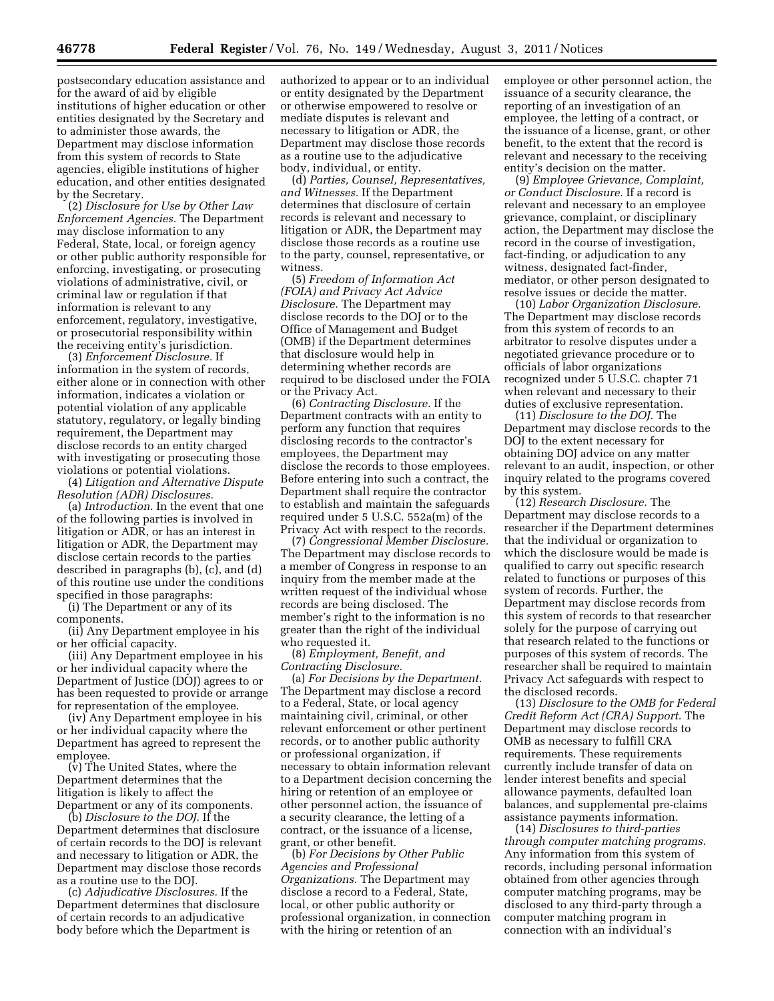by the Secretary. (2) *Disclosure for Use by Other Law Enforcement Agencies.* The Department may disclose information to any Federal, State, local, or foreign agency or other public authority responsible for enforcing, investigating, or prosecuting violations of administrative, civil, or criminal law or regulation if that information is relevant to any enforcement, regulatory, investigative, or prosecutorial responsibility within the receiving entity's jurisdiction.

(3) *Enforcement Disclosure.* If information in the system of records, either alone or in connection with other information, indicates a violation or potential violation of any applicable statutory, regulatory, or legally binding requirement, the Department may disclose records to an entity charged with investigating or prosecuting those violations or potential violations.

(4) *Litigation and Alternative Dispute Resolution (ADR) Disclosures.* 

(a) *Introduction.* In the event that one of the following parties is involved in litigation or ADR, or has an interest in litigation or ADR, the Department may disclose certain records to the parties described in paragraphs (b), (c), and (d) of this routine use under the conditions specified in those paragraphs:

(i) The Department or any of its components.

(ii) Any Department employee in his or her official capacity.

(iii) Any Department employee in his or her individual capacity where the Department of Justice (DOJ) agrees to or has been requested to provide or arrange for representation of the employee.

(iv) Any Department employee in his or her individual capacity where the Department has agreed to represent the employee.

(v) The United States, where the Department determines that the litigation is likely to affect the Department or any of its components.

(b) *Disclosure to the DOJ.* If the Department determines that disclosure of certain records to the DOJ is relevant and necessary to litigation or ADR, the Department may disclose those records as a routine use to the DOJ.

(c) *Adjudicative Disclosures.* If the Department determines that disclosure of certain records to an adjudicative body before which the Department is

authorized to appear or to an individual or entity designated by the Department or otherwise empowered to resolve or mediate disputes is relevant and necessary to litigation or ADR, the Department may disclose those records as a routine use to the adjudicative body, individual, or entity.

(d) *Parties, Counsel, Representatives, and Witnesses.* If the Department determines that disclosure of certain records is relevant and necessary to litigation or ADR, the Department may disclose those records as a routine use to the party, counsel, representative, or witness.

(5) *Freedom of Information Act (FOIA) and Privacy Act Advice Disclosure.* The Department may disclose records to the DOJ or to the Office of Management and Budget (OMB) if the Department determines that disclosure would help in determining whether records are required to be disclosed under the FOIA or the Privacy Act.

(6) *Contracting Disclosure.* If the Department contracts with an entity to perform any function that requires disclosing records to the contractor's employees, the Department may disclose the records to those employees. Before entering into such a contract, the Department shall require the contractor to establish and maintain the safeguards required under 5 U.S.C. 552a(m) of the Privacy Act with respect to the records.

(7) *Congressional Member Disclosure.*  The Department may disclose records to a member of Congress in response to an inquiry from the member made at the written request of the individual whose records are being disclosed. The member's right to the information is no greater than the right of the individual who requested it.

(8) *Employment, Benefit, and Contracting Disclosure.* 

(a) *For Decisions by the Department.*  The Department may disclose a record to a Federal, State, or local agency maintaining civil, criminal, or other relevant enforcement or other pertinent records, or to another public authority or professional organization, if necessary to obtain information relevant to a Department decision concerning the hiring or retention of an employee or other personnel action, the issuance of a security clearance, the letting of a contract, or the issuance of a license, grant, or other benefit.

(b) *For Decisions by Other Public Agencies and Professional Organizations.* The Department may disclose a record to a Federal, State, local, or other public authority or professional organization, in connection with the hiring or retention of an

employee or other personnel action, the issuance of a security clearance, the reporting of an investigation of an employee, the letting of a contract, or the issuance of a license, grant, or other benefit, to the extent that the record is relevant and necessary to the receiving entity's decision on the matter.

(9) *Employee Grievance, Complaint, or Conduct Disclosure.* If a record is relevant and necessary to an employee grievance, complaint, or disciplinary action, the Department may disclose the record in the course of investigation, fact-finding, or adjudication to any witness, designated fact-finder, mediator, or other person designated to resolve issues or decide the matter.

(10) *Labor Organization Disclosure.*  The Department may disclose records from this system of records to an arbitrator to resolve disputes under a negotiated grievance procedure or to officials of labor organizations recognized under 5 U.S.C. chapter 71 when relevant and necessary to their duties of exclusive representation.

(11) *Disclosure to the DOJ.* The Department may disclose records to the DOJ to the extent necessary for obtaining DOJ advice on any matter relevant to an audit, inspection, or other inquiry related to the programs covered by this system.

(12) *Research Disclosure.* The Department may disclose records to a researcher if the Department determines that the individual or organization to which the disclosure would be made is qualified to carry out specific research related to functions or purposes of this system of records. Further, the Department may disclose records from this system of records to that researcher solely for the purpose of carrying out that research related to the functions or purposes of this system of records. The researcher shall be required to maintain Privacy Act safeguards with respect to the disclosed records.

(13) *Disclosure to the OMB for Federal Credit Reform Act (CRA) Support.* The Department may disclose records to OMB as necessary to fulfill CRA requirements. These requirements currently include transfer of data on lender interest benefits and special allowance payments, defaulted loan balances, and supplemental pre-claims assistance payments information.

(14) *Disclosures to third-parties through computer matching programs.*  Any information from this system of records, including personal information obtained from other agencies through computer matching programs, may be disclosed to any third-party through a computer matching program in connection with an individual's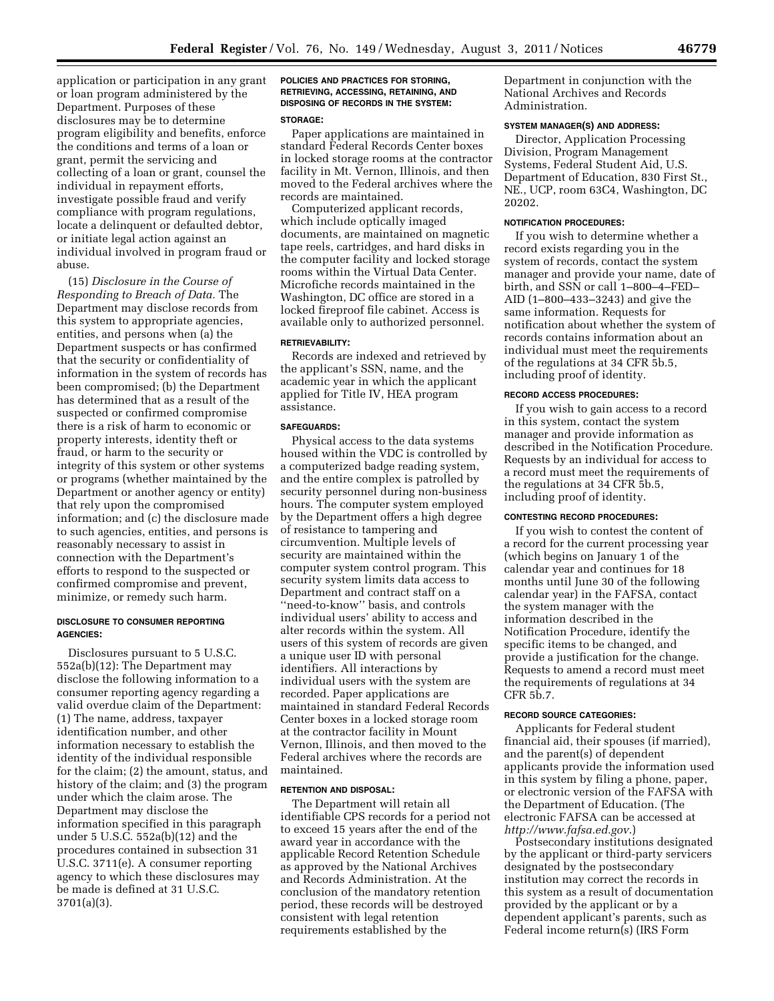application or participation in any grant or loan program administered by the Department. Purposes of these disclosures may be to determine program eligibility and benefits, enforce the conditions and terms of a loan or grant, permit the servicing and collecting of a loan or grant, counsel the individual in repayment efforts, investigate possible fraud and verify compliance with program regulations, locate a delinquent or defaulted debtor, or initiate legal action against an individual involved in program fraud or abuse.

(15) *Disclosure in the Course of Responding to Breach of Data.* The Department may disclose records from this system to appropriate agencies, entities, and persons when (a) the Department suspects or has confirmed that the security or confidentiality of information in the system of records has been compromised; (b) the Department has determined that as a result of the suspected or confirmed compromise there is a risk of harm to economic or property interests, identity theft or fraud, or harm to the security or integrity of this system or other systems or programs (whether maintained by the Department or another agency or entity) that rely upon the compromised information; and (c) the disclosure made to such agencies, entities, and persons is reasonably necessary to assist in connection with the Department's efforts to respond to the suspected or confirmed compromise and prevent, minimize, or remedy such harm.

## **DISCLOSURE TO CONSUMER REPORTING AGENCIES:**

Disclosures pursuant to 5 U.S.C. 552a(b)(12): The Department may disclose the following information to a consumer reporting agency regarding a valid overdue claim of the Department: (1) The name, address, taxpayer identification number, and other information necessary to establish the identity of the individual responsible for the claim; (2) the amount, status, and history of the claim; and (3) the program under which the claim arose. The Department may disclose the information specified in this paragraph under 5 U.S.C. 552a(b)(12) and the procedures contained in subsection 31 U.S.C. 3711(e). A consumer reporting agency to which these disclosures may be made is defined at 31 U.S.C. 3701(a)(3).

# **POLICIES AND PRACTICES FOR STORING, RETRIEVING, ACCESSING, RETAINING, AND DISPOSING OF RECORDS IN THE SYSTEM:**

#### **STORAGE:**

Paper applications are maintained in standard Federal Records Center boxes in locked storage rooms at the contractor facility in Mt. Vernon, Illinois, and then moved to the Federal archives where the records are maintained.

Computerized applicant records, which include optically imaged documents, are maintained on magnetic tape reels, cartridges, and hard disks in the computer facility and locked storage rooms within the Virtual Data Center. Microfiche records maintained in the Washington, DC office are stored in a locked fireproof file cabinet. Access is available only to authorized personnel.

#### **RETRIEVABILITY:**

Records are indexed and retrieved by the applicant's SSN, name, and the academic year in which the applicant applied for Title IV, HEA program assistance.

#### **SAFEGUARDS:**

Physical access to the data systems housed within the VDC is controlled by a computerized badge reading system, and the entire complex is patrolled by security personnel during non-business hours. The computer system employed by the Department offers a high degree of resistance to tampering and circumvention. Multiple levels of security are maintained within the computer system control program. This security system limits data access to Department and contract staff on a ''need-to-know'' basis, and controls individual users' ability to access and alter records within the system. All users of this system of records are given a unique user ID with personal identifiers. All interactions by individual users with the system are recorded. Paper applications are maintained in standard Federal Records Center boxes in a locked storage room at the contractor facility in Mount Vernon, Illinois, and then moved to the Federal archives where the records are maintained.

# **RETENTION AND DISPOSAL:**

The Department will retain all identifiable CPS records for a period not to exceed 15 years after the end of the award year in accordance with the applicable Record Retention Schedule as approved by the National Archives and Records Administration. At the conclusion of the mandatory retention period, these records will be destroyed consistent with legal retention requirements established by the

Department in conjunction with the National Archives and Records Administration.

# **SYSTEM MANAGER(S) AND ADDRESS:**

Director, Application Processing Division, Program Management Systems, Federal Student Aid, U.S. Department of Education, 830 First St., NE., UCP, room 63C4, Washington, DC 20202.

#### **NOTIFICATION PROCEDURES:**

If you wish to determine whether a record exists regarding you in the system of records, contact the system manager and provide your name, date of birth, and SSN or call 1–800–4–FED– AID (1–800–433–3243) and give the same information. Requests for notification about whether the system of records contains information about an individual must meet the requirements of the regulations at 34 CFR 5b.5, including proof of identity.

### **RECORD ACCESS PROCEDURES:**

If you wish to gain access to a record in this system, contact the system manager and provide information as described in the Notification Procedure. Requests by an individual for access to a record must meet the requirements of the regulations at 34 CFR 5b.5, including proof of identity.

# **CONTESTING RECORD PROCEDURES:**

If you wish to contest the content of a record for the current processing year (which begins on January 1 of the calendar year and continues for 18 months until June 30 of the following calendar year) in the FAFSA, contact the system manager with the information described in the Notification Procedure, identify the specific items to be changed, and provide a justification for the change. Requests to amend a record must meet the requirements of regulations at 34 CFR 5b.7.

## **RECORD SOURCE CATEGORIES:**

Applicants for Federal student financial aid, their spouses (if married), and the parent(s) of dependent applicants provide the information used in this system by filing a phone, paper, or electronic version of the FAFSA with the Department of Education. (The electronic FAFSA can be accessed at *<http://www.fafsa.ed.gov>*.)

Postsecondary institutions designated by the applicant or third-party servicers designated by the postsecondary institution may correct the records in this system as a result of documentation provided by the applicant or by a dependent applicant's parents, such as Federal income return(s) (IRS Form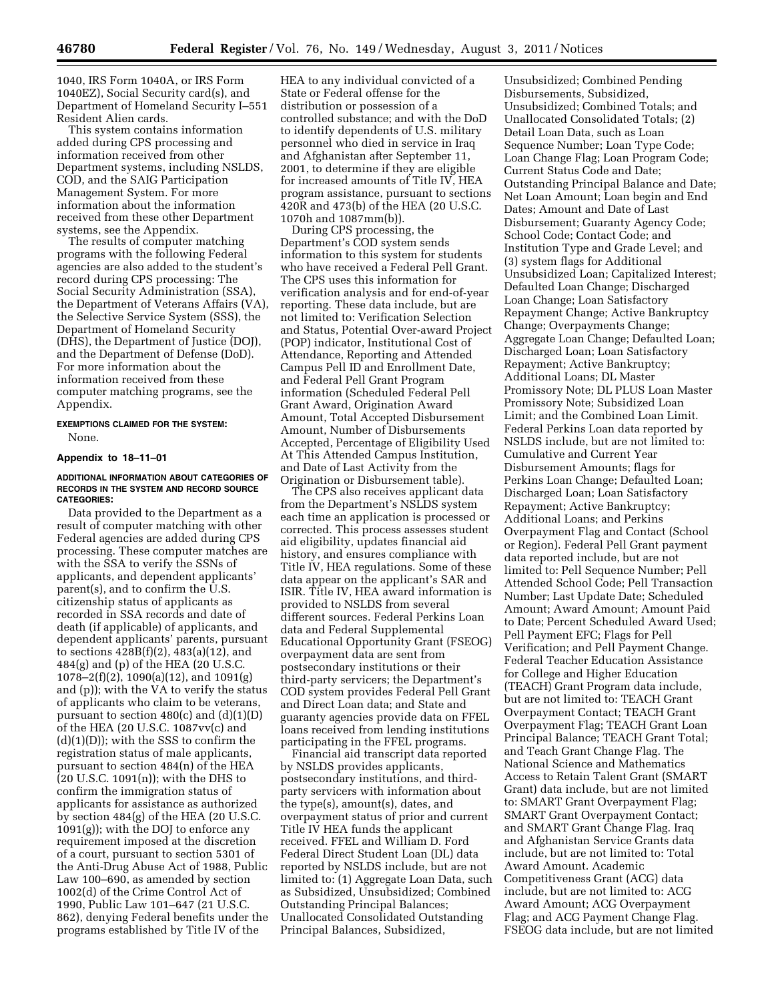1040, IRS Form 1040A, or IRS Form 1040EZ), Social Security card(s), and Department of Homeland Security I–551 Resident Alien cards.

This system contains information added during CPS processing and information received from other Department systems, including NSLDS, COD, and the SAIG Participation Management System. For more information about the information received from these other Department systems, see the Appendix.

The results of computer matching programs with the following Federal agencies are also added to the student's record during CPS processing: The Social Security Administration (SSA), the Department of Veterans Affairs (VA), the Selective Service System (SSS), the Department of Homeland Security (DHS), the Department of Justice (DOJ), and the Department of Defense (DoD). For more information about the information received from these computer matching programs, see the Appendix.

## **EXEMPTIONS CLAIMED FOR THE SYSTEM:**  None.

#### **Appendix to 18–11–01**

## **ADDITIONAL INFORMATION ABOUT CATEGORIES OF RECORDS IN THE SYSTEM AND RECORD SOURCE CATEGORIES:**

Data provided to the Department as a result of computer matching with other Federal agencies are added during CPS processing. These computer matches are with the SSA to verify the SSNs of applicants, and dependent applicants' parent(s), and to confirm the U.S. citizenship status of applicants as recorded in SSA records and date of death (if applicable) of applicants, and dependent applicants' parents, pursuant to sections 428B(f)(2), 483(a)(12), and 484(g) and (p) of the HEA (20 U.S.C. 1078–2(f)(2), 1090(a)(12), and 1091(g) and (p)); with the VA to verify the status of applicants who claim to be veterans, pursuant to section  $480(c)$  and  $(d)(1)(D)$ of the HEA (20 U.S.C. 1087vv(c) and  $(d)(1)(D)$ ; with the SSS to confirm the registration status of male applicants, pursuant to section 484(n) of the HEA  $(20 \text{ U.S.C. } 1091(n))$ ; with the DHS to confirm the immigration status of applicants for assistance as authorized by section 484(g) of the HEA (20 U.S.C. 1091(g)); with the DOJ to enforce any requirement imposed at the discretion of a court, pursuant to section 5301 of the Anti-Drug Abuse Act of 1988, Public Law 100–690, as amended by section 1002(d) of the Crime Control Act of 1990, Public Law 101–647 (21 U.S.C. 862), denying Federal benefits under the programs established by Title IV of the

HEA to any individual convicted of a State or Federal offense for the distribution or possession of a controlled substance; and with the DoD to identify dependents of U.S. military personnel who died in service in Iraq and Afghanistan after September 11, 2001, to determine if they are eligible for increased amounts of Title IV, HEA program assistance, pursuant to sections 420R and 473(b) of the HEA (20 U.S.C. 1070h and 1087mm(b)).

During CPS processing, the Department's COD system sends information to this system for students who have received a Federal Pell Grant. The CPS uses this information for verification analysis and for end-of-year reporting. These data include, but are not limited to: Verification Selection and Status, Potential Over-award Project (POP) indicator, Institutional Cost of Attendance, Reporting and Attended Campus Pell ID and Enrollment Date, and Federal Pell Grant Program information (Scheduled Federal Pell Grant Award, Origination Award Amount, Total Accepted Disbursement Amount, Number of Disbursements Accepted, Percentage of Eligibility Used At This Attended Campus Institution, and Date of Last Activity from the Origination or Disbursement table).

The CPS also receives applicant data from the Department's NSLDS system each time an application is processed or corrected. This process assesses student aid eligibility, updates financial aid history, and ensures compliance with Title IV, HEA regulations. Some of these data appear on the applicant's SAR and ISIR. Title IV, HEA award information is provided to NSLDS from several different sources. Federal Perkins Loan data and Federal Supplemental Educational Opportunity Grant (FSEOG) overpayment data are sent from postsecondary institutions or their third-party servicers; the Department's COD system provides Federal Pell Grant and Direct Loan data; and State and guaranty agencies provide data on FFEL loans received from lending institutions participating in the FFEL programs.

Financial aid transcript data reported by NSLDS provides applicants, postsecondary institutions, and thirdparty servicers with information about the type(s), amount(s), dates, and overpayment status of prior and current Title IV HEA funds the applicant received. FFEL and William D. Ford Federal Direct Student Loan (DL) data reported by NSLDS include, but are not limited to: (1) Aggregate Loan Data, such as Subsidized, Unsubsidized; Combined Outstanding Principal Balances; Unallocated Consolidated Outstanding Principal Balances, Subsidized,

Unsubsidized; Combined Pending Disbursements, Subsidized, Unsubsidized; Combined Totals; and Unallocated Consolidated Totals; (2) Detail Loan Data, such as Loan Sequence Number; Loan Type Code; Loan Change Flag; Loan Program Code; Current Status Code and Date; Outstanding Principal Balance and Date; Net Loan Amount; Loan begin and End Dates; Amount and Date of Last Disbursement; Guaranty Agency Code; School Code; Contact Code; and Institution Type and Grade Level; and (3) system flags for Additional Unsubsidized Loan; Capitalized Interest; Defaulted Loan Change; Discharged Loan Change; Loan Satisfactory Repayment Change; Active Bankruptcy Change; Overpayments Change; Aggregate Loan Change; Defaulted Loan; Discharged Loan; Loan Satisfactory Repayment; Active Bankruptcy; Additional Loans; DL Master Promissory Note; DL PLUS Loan Master Promissory Note; Subsidized Loan Limit; and the Combined Loan Limit. Federal Perkins Loan data reported by NSLDS include, but are not limited to: Cumulative and Current Year Disbursement Amounts; flags for Perkins Loan Change; Defaulted Loan; Discharged Loan; Loan Satisfactory Repayment; Active Bankruptcy; Additional Loans; and Perkins Overpayment Flag and Contact (School or Region). Federal Pell Grant payment data reported include, but are not limited to: Pell Sequence Number; Pell Attended School Code; Pell Transaction Number; Last Update Date; Scheduled Amount; Award Amount; Amount Paid to Date; Percent Scheduled Award Used; Pell Payment EFC; Flags for Pell Verification; and Pell Payment Change. Federal Teacher Education Assistance for College and Higher Education (TEACH) Grant Program data include, but are not limited to: TEACH Grant Overpayment Contact; TEACH Grant Overpayment Flag; TEACH Grant Loan Principal Balance; TEACH Grant Total; and Teach Grant Change Flag. The National Science and Mathematics Access to Retain Talent Grant (SMART Grant) data include, but are not limited to: SMART Grant Overpayment Flag; SMART Grant Overpayment Contact; and SMART Grant Change Flag. Iraq and Afghanistan Service Grants data include, but are not limited to: Total Award Amount. Academic Competitiveness Grant (ACG) data include, but are not limited to: ACG Award Amount; ACG Overpayment Flag; and ACG Payment Change Flag. FSEOG data include, but are not limited